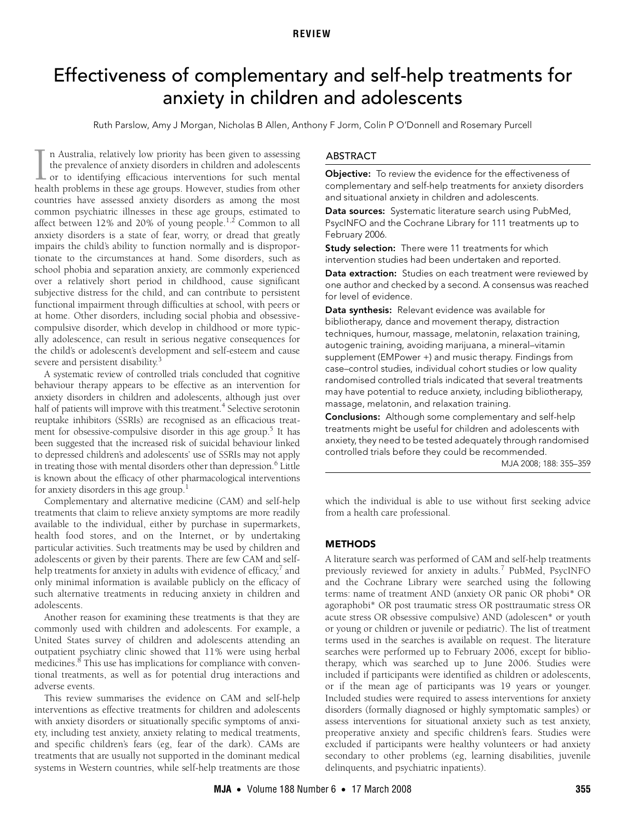# <span id="page-0-0"></span>Effectiveness of complementary and self-help treatments for anxiety in children and adolescents

Ruth Parslow, Amy J Morgan, Nicholas B Allen, Anthony F Jorm, Colin P O'Donnell and Rosemary Purcell

anxiety disorders is a state of fear, worry, or dread that greatly impairs the child's ability to fu[nctio](#page-0-0)[n no](#page-4-8)rmally and is disproportionate to the circumstances at hand. Some disorders, such as school phobia and separation anxiety, are commonly experienced over a relatively short period in childhood, cause significant n Australia, relatively low priority has been given to assessing the prevalence of anxiety disorders in children and adolescents  $\perp$  or to identifying efficacious interventions for such mental In Australia, relatively low priority has been given to assessing the prevalence of anxiety disorders in children and adolescents or to identifying efficacious interventions for such mental health problems in these age gro countries have assessed anxiety disorders as among the most common psychiatric illnesses in these age groups, estimated to affect between [1](#page-4-0)[2](#page-4-1)% and 20% of young people.<sup>1,2</sup> Common to all subjective distress for the child, and can contribute to persistent functional impairment through difficulties at school, with peers or at home. Other disorders, including social phobia and obsessivecompulsive disorder, which develop in childhood or more typically adolescence, can result in serious negative consequences for the child's or adolescent's development and self-esteem and cause severe and persistent disability.<sup>3</sup>

A systematic review of controlled trials concluded that cognitive behaviour therapy appears to be effective as an intervention for anxiety disorders in children and adolescents, although just over half of patients will improve with this treatment.<sup>4</sup> Selective serotonin reuptake inhibitors (SSRIs) are recognised as an efficacious treatment for obsessive-compulsive disorder in this age group.<sup>5</sup> It has been suggested that the increased risk of suicidal behaviour linked to depressed children's and adolescents' use of SSRIs may not apply in treating those with mental disorders other than depression.<sup>6</sup> Little is known about the efficacy of other pharmacological interventions for anxiety disorders in this age group.<sup>[1](#page-4-0)</sup>

Complementary and alternative medicine (CAM) and self-help treatments that claim to relieve anxiety symptoms are more readily available to the individual, either by purchase in supermarkets, health food stores, and on the Internet, or by undertaking particular activities. Such treatments may be used by children and adolescents or given by their parents. There are few CAM and selfhelp treatments for anxiety in adults with evidence of efficacy, $^7$  $^7$  and only minimal information is available publicly on the efficacy of such alternative treatments in reducing anxiety in children and adolescents.

Another reason for examining these treatments is that they are commonly used with children and adolescents. For example, a United States survey of children and adolescents attending an outpatient psychiatry clinic showed that 11% were using herbal medicines. $8$  This use has implications for compliance with conventional treatments, as well as for potential drug interactions and adverse events.

This review summarises the evidence on CAM and self-help interventions as effective treatments for children and adolescents with anxiety disorders or situationally specific symptoms of anxiety, including test anxiety, anxiety relating to medical treatments, and specific children's fears (eg, fear of the dark). CAMs are treatments that are usually not supported in the dominant medical systems in Western countries, while self-help treatments are those

#### ABSTRACT

Objective: To review the evidence for the effectiveness of complementary and self-help treatments for anxiety disorders and situational anxiety in children and adolescents.

Data sources: Systematic literature search using PubMed, PsycINFO and the Cochrane Library for 111 treatments up to February 2006.

**Study selection:** There were 11 treatments for which intervention studies had been undertaken and reported.

Data extraction: Studies on each treatment were reviewed by one author and checked by a second. A consensus was reached for level of evidence.

Data synthesis: Relevant evidence was available for bibliotherapy, dance and movement therapy, distraction techniques, humour, massage, melatonin, relaxation training, autogenic training, avoiding marijuana, a mineral–vitamin supplement (EMPower +) and music therapy. Findings from case–control studies, individual cohort studies or low quality randomised controlled trials indicated that several treatments may have potential to reduce anxiety, including bibliotherapy, massage, melatonin, and relaxation training.

Conclusions: Although some complementary and self-help treatments might be useful for children and adolescents with anxiety, they need to be tested adequately through randomised controlled trials before they could be recommended.

MJA 2008; 188: 355–359

which the individual is able to use without first seeking advice from a health care professional.

#### **METHODS**

A literature search was performed of CAM and self-help treatments previously reviewed for anxiety in adults.<sup>[7](#page-4-6)</sup> PubMed, PsycINFO and the Cochrane Library were searched using the following terms: name of treatment AND (anxiety OR panic OR phobi\* OR agoraphobi\* OR post traumatic stress OR posttraumatic stress OR acute stress OR obsessive compulsive) AND (adolescen\* or youth or young or children or juvenile or pediatric). The list of treatment terms used in the searches is available on request. The literature searches were performed up to February 2006, except for bibliotherapy, which was searched up to June 2006. Studies were included if participants were identified as children or adolescents, or if the mean age of participants was 19 years or younger. Included studies were required to assess interventions for anxiety disorders (formally diagnosed or highly symptomatic samples) or assess interventions for situational anxiety such as test anxiety, preoperative anxiety and specific children's fears. Studies were excluded if participants were healthy volunteers or had anxiety secondary to other problems (eg, learning disabilities, juvenile delinquents, and psychiatric inpatients).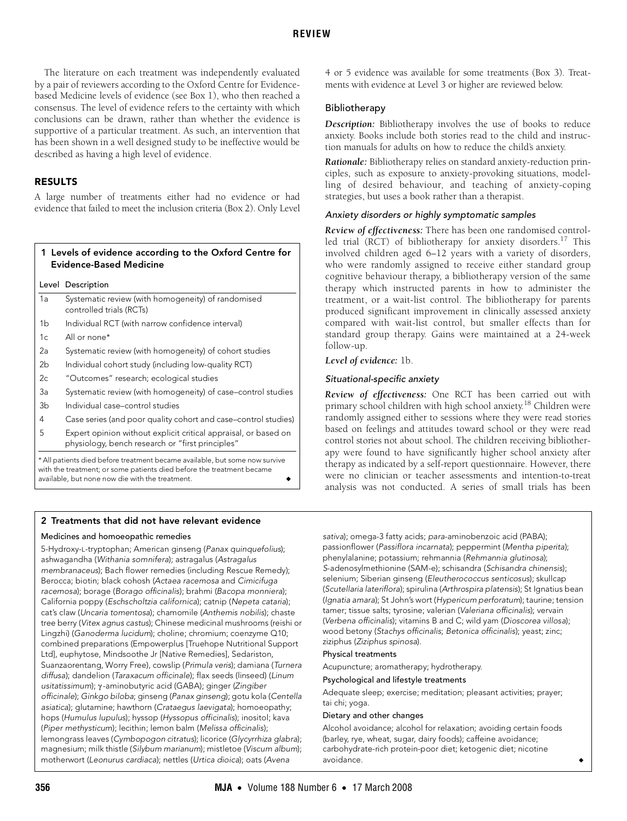The literature on each treatment was independently evaluated by a pair of reviewers according to the Oxford Centre for Evidencebased Medicine levels of evidence (see Box 1), who then reached a consensus. The level of evidence refers to the certainty with which conclusions can be drawn, rather than whether the evidence is supportive of a particular treatment. As such, an intervention that has been shown in a well designed study to be ineffective would be described as having a high level of evidence.

## RESULTS

A large number of treatments either had no evidence or had evidence that failed to meet the inclusion criteria (Box 2). Only Level

# 1 Levels of evidence according to the Oxford Centre for Evidence-Based Medicine

Level Description

| 1a | Systematic review (with homogeneity) of randomised<br>controlled trials (RCTs) |
|----|--------------------------------------------------------------------------------|
| 1b | Individual RCT (with narrow confidence interval)                               |
| 1c | All or none*                                                                   |
| 2a | Systematic review (with homogeneity) of cohort studies                         |

- 2b Individual cohort study (including low-quality RCT)
- 2c "Outcomes" research; ecological studies
- 3a Systematic review (with homogeneity) of case–control studies 3b Individual case–control studies
- 
- 4 Case series (and poor quality cohort and case–control studies) 5 Expert opinion without explicit critical appraisal, or based on physiology, bench research or "first principles"

\* All patients died before treatment became available, but some now survive with the treatment; or some patients died before the treatment became available, but none now die with the treatment.

#### 4 or 5 evidence was available for some treatments (Box 3). Treatments with evidence at Level 3 or higher are reviewed below.

#### Bibliotherapy

*Description:* Bibliotherapy involves the use of books to reduce anxiety. Books include both stories read to the child and instruction manuals for adults on how to reduce the child's anxiety.

*Rationale:* Bibliotherapy relies on standard anxiety-reduction principles, such as exposure to anxiety-provoking situations, modelling of desired behaviour, and teaching of anxiety-coping strategies, but uses a book rather than a therapist.

#### Anxiety disorders or highly symptomatic samples

*Review of effectiveness:* There has been one randomised control-led trial (RCT) of bibliotherapy for anxiety disorders.<sup>[17](#page-4-9)</sup> This involved children aged 6–12 years with a variety of disorders, who were randomly assigned to receive either standard group cognitive behaviour therapy, a bibliotherapy version of the same therapy which instructed parents in how to administer the treatment, or a wait-list control. The bibliotherapy for parents produced significant improvement in clinically assessed anxiety compared with wait-list control, but smaller effects than for standard group therapy. Gains were maintained at a 24-week follow-up.

#### *Level of evidence:* 1b.

#### Situational-specific anxiety

*Review of effectiveness:* One RCT has been carried out with primary school children with high school anxiety.[18](#page-4-10) Children were randomly assigned either to sessions where they were read stories based on feelings and attitudes toward school or they were read control stories not about school. The children receiving bibliotherapy were found to have significantly higher school anxiety after therapy as indicated by a self-report questionnaire. However, there were no clinician or teacher assessments and intention-to-treat analysis was not conducted. A series of small trials has been

### 2 Treatments that did not have relevant evidence

#### Medicines and homoeopathic remedies

5-Hydroxy-L-tryptophan; American ginseng (Panax quinquefolius); ashwagandha (Withania somnifera); astragalus (Astragalus membranaceus); Bach flower remedies (including Rescue Remedy); Berocca; biotin; black cohosh (Actaea racemosa and Cimicifuga racemosa); borage (Borago officinalis); brahmi (Bacopa monniera); California poppy (Eschscholtzia californica); catnip (Nepeta cataria); cat's claw (Uncaria tomentosa); chamomile (Anthemis nobilis); chaste tree berry (Vitex agnus castus); Chinese medicinal mushrooms (reishi or Lingzhi) (Ganoderma lucidum); choline; chromium; coenzyme Q10; combined preparations (Empowerplus [Truehope Nutritional Support Ltd], euphytose, Mindsoothe Jr [Native Remedies], Sedariston, Suanzaorentang, Worry Free), cowslip (Primula veris); damiana (Turnera diffusa); dandelion (Taraxacum officinale); flax seeds (linseed) (Linum usitatissimum); γ -aminobutyric acid (GABA); ginger (Zingiber officinale); Ginkgo biloba; ginseng (Panax ginseng); gotu kola (Centella asiatica); glutamine; hawthorn (Crataegus laevigata); homoeopathy; hops (Humulus lupulus); hyssop (Hyssopus officinalis); inositol; kava (Piper methysticum); lecithin; lemon balm (Melissa officinalis); lemongrass leaves (Cymbopogon citratus); licorice (Glycyrrhiza glabra); magnesium; milk thistle (Silybum marianum); mistletoe (Viscum album); motherwort (Leonurus cardiaca); nettles (Urtica dioica); oats (Avena

sativa); omega-3 fatty acids; para-aminobenzoic acid (PABA); passionflower (Passiflora incarnata); peppermint (Mentha piperita); phenylalanine; potassium; rehmannia (Rehmannia glutinosa); S-adenosylmethionine (SAM-e); schisandra (Schisandra chinensis); selenium; Siberian ginseng (Eleutherococcus senticosus); skullcap (Scutellaria lateriflora); spirulina (Arthrospira platensis); St Ignatius bean (Ignatia amara); St John's wort (Hypericum perforatum); taurine; tension tamer; tissue salts; tyrosine; valerian (Valeriana officinalis); vervain (Verbena officinalis); vitamins B and C; wild yam (Dioscorea villosa); wood betony (Stachys officinalis; Betonica officinalis); yeast; zinc; ziziphus (Ziziphus spinosa).

#### Physical treatments

Acupuncture; aromatherapy; hydrotherapy.

#### Psychological and lifestyle treatments

Adequate sleep; exercise; meditation; pleasant activities; prayer; tai chi; yoga.

#### Dietary and other changes

Alcohol avoidance; alcohol for relaxation; avoiding certain foods (barley, rye, wheat, sugar, dairy foods); caffeine avoidance; carbohydrate-rich protein-poor diet; ketogenic diet; nicotine avoidance. ◆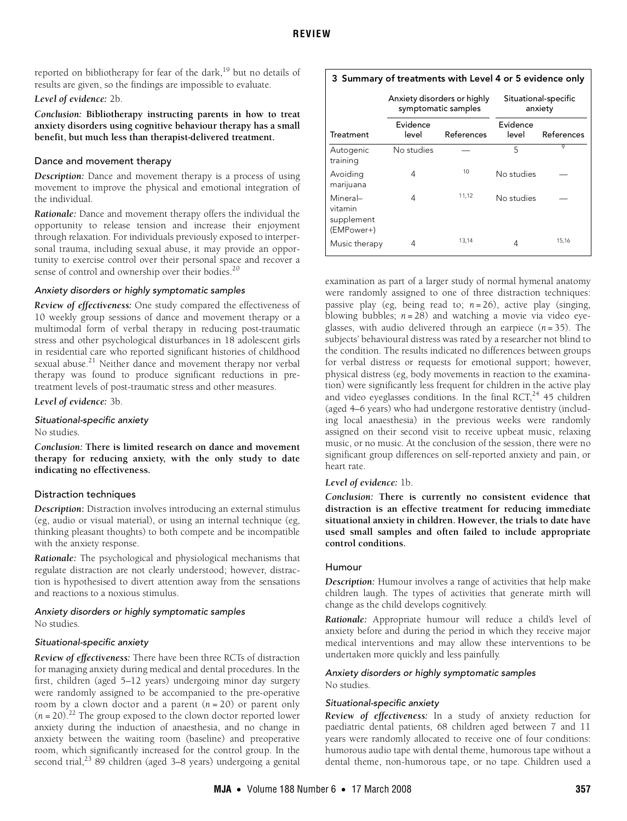reported on bibliotherapy for fear of the dark, $19$  but no details of results are given, so the findings are impossible to evaluate.

#### *Level of evidence:* 2b.

*Conclusion:* **Bibliotherapy instructing parents in how to treat anxiety disorders using cognitive behaviour therapy has a small benefit, but much less than therapist-delivered treatment.**

## Dance and movement therapy

*Description:* Dance and movement therapy is a process of using movement to improve the physical and emotional integration of the individual.

*Rationale:* Dance and movement therapy offers the individual the opportunity to release tension and increase their enjoyment through relaxation. For individuals previously exposed to interpersonal trauma, including sexual abuse, it may provide an opportunity to exercise control over their personal space and recover a sense of control and ownership over their bodies.<sup>[20](#page-4-12)</sup>

### Anxiety disorders or highly symptomatic samples

*Review of effectiveness:* One study compared the effectiveness of 10 weekly group sessions of dance and movement therapy or a multimodal form of verbal therapy in reducing post-traumatic stress and other psychological disturbances in 18 adolescent girls in residential care who reported significant histories of childhood sexual abuse.<sup>21</sup> Neither dance and movement therapy nor verbal therapy was found to produce significant reductions in pretreatment levels of post-traumatic stress and other measures.

*Level of evidence:* 3b.

#### Situational-specific anxiety

No studies.

*Conclusion:* **There is limited research on dance and movement therapy for reducing anxiety, with the only study to date indicating no effectiveness.**

# Distraction techniques

*Description***:** Distraction involves introducing an external stimulus (eg, audio or visual material), or using an internal technique (eg, thinking pleasant thoughts) to both compete and be incompatible with the anxiety response.

*Rationale:* The psychological and physiological mechanisms that regulate distraction are not clearly understood; however, distraction is hypothesised to divert attention away from the sensations and reactions to a noxious stimulus.

### Anxiety disorders or highly symptomatic samples No studies.

# Situational-specific anxiety

*Review of effectiveness:* There have been three RCTs of distraction for managing anxiety during medical and dental procedures. In the first, children (aged 5–12 years) undergoing minor day surgery were randomly assigned to be accompanied to the pre-operative room by a clown doctor and a parent (*n* = 20) or parent only  $(n = 20).$ <sup>[22](#page-4-14)</sup> The group exposed to the clown doctor reported lower anxiety during the induction of anaesthesia, and no change in anxiety between the waiting room (baseline) and preoperative room, which significantly increased for the control group. In the second trial, $^{23}$  89 children (aged 3–8 years) undergoing a genital

# 3 Summary of treatments with Level 4 or 5 evidence only

|                                                 | Anxiety disorders or highly<br>symptomatic samples |            | Situational-specific<br>anxiety |            |
|-------------------------------------------------|----------------------------------------------------|------------|---------------------------------|------------|
| <b>Treatment</b>                                | Evidence<br>level                                  | References | Evidence<br>level               | References |
| Autogenic<br>training                           | No studies                                         |            | 5                               | 9          |
| Avoiding<br>marijuana                           | 4                                                  | 10         | No studies                      |            |
| Mineral-<br>vitamin<br>supplement<br>(EMPower+) | 4                                                  | 11,12      | No studies                      |            |
| Music therapy                                   | 4                                                  | 13,14      | 4                               | 15,16      |

examination as part of a larger study of normal hymenal anatomy were randomly assigned to one of three distraction techniques: passive play (eg, being read to; *n* = 26), active play (singing, blowing bubbles; *n* = 28) and watching a movie via video eyeglasses, with audio delivered through an earpiece  $(n=35)$ . The subjects' behavioural distress was rated by a researcher not blind to the condition. The results indicated no differences between groups for verbal distress or requests for emotional support; however, physical distress (eg, body movements in reaction to the examination) were significantly less frequent for children in the active play and video eyeglasses conditions. In the final RCT, $^{24}$  $^{24}$  $^{24}$  45 children (aged 4–6 years) who had undergone restorative dentistry (including local anaesthesia) in the previous weeks were randomly assigned on their second visit to receive upbeat music, relaxing music, or no music. At the conclusion of the session, there were no significant group differences on self-reported anxiety and pain, or heart rate.

#### *Level of evidence:* 1b.

*Conclusion:* **There is currently no consistent evidence that distraction is an effective treatment for reducing immediate situational anxiety in children. However, the trials to date have used small samples and often failed to include appropriate control conditions.**

#### Humour

*Description:* Humour involves a range of activities that help make children laugh. The types of activities that generate mirth will change as the child develops cognitively.

*Rationale:* Appropriate humour will reduce a child's level of anxiety before and during the period in which they receive major medical interventions and may allow these interventions to be undertaken more quickly and less painfully.

# Anxiety disorders or highly symptomatic samples

No studies.

# Situational-specific anxiety

*Review of effectiveness:* In a study of anxiety reduction for paediatric dental patients, 68 children aged between 7 and 11 years were randomly allocated to receive one of four conditions: humorous audio tape with dental theme, humorous tape without a dental theme, non-humorous tape, or no tape. Children used a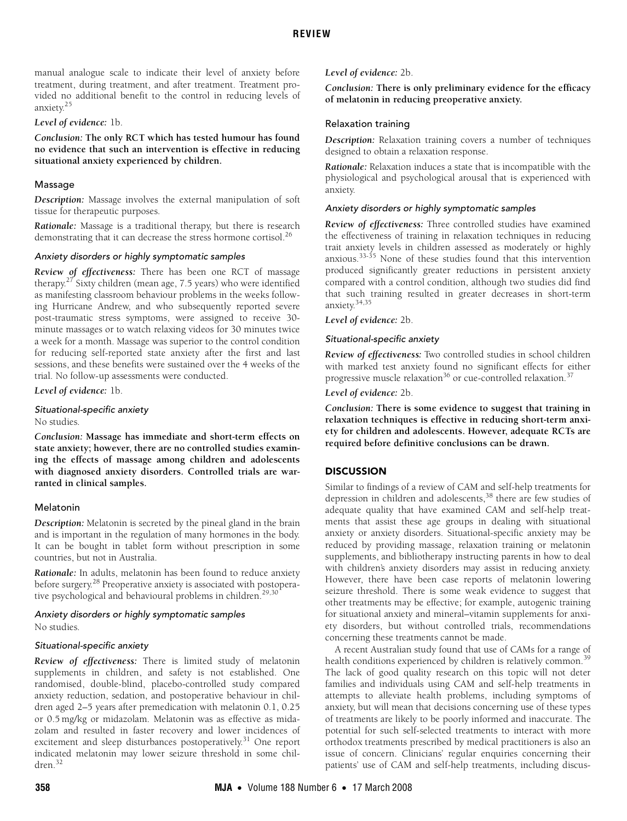manual analogue scale to indicate their level of anxiety before treatment, during treatment, and after treatment. Treatment provided no additional benefit to the control in reducing levels of anxiety[.25](#page-4-17)

#### *Level of evidence:* 1b.

*Conclusion:* **The only RCT which has tested humour has found no evidence that such an intervention is effective in reducing situational anxiety experienced by children.**

#### Massage

*Description:* Massage involves the external manipulation of soft tissue for therapeutic purposes.

*Rationale:* Massage is a traditional therapy, but there is research demonstrating that it can decrease the stress hormone cortisol.<sup>[26](#page-4-18)</sup>

#### Anxiety disorders or highly symptomatic samples

*Review of effectiveness:* There has been one RCT of massage therapy. $27$  Sixty children (mean age, 7.5 years) who were identified as manifesting classroom behaviour problems in the weeks following Hurricane Andrew, and who subsequently reported severe post-traumatic stress symptoms, were assigned to receive 30 minute massages or to watch relaxing videos for 30 minutes twice a week for a month. Massage was superior to the control condition for reducing self-reported state anxiety after the first and last sessions, and these benefits were sustained over the 4 weeks of the trial. No follow-up assessments were conducted.

*Level of evidence:* 1b.

Situational-specific anxiety

No studies.

*Conclusion:* **Massage has immediate and short-term effects on state anxiety; however, there are no controlled studies examining the effects of massage among children and adolescents with diagnosed anxiety disorders. Controlled trials are warranted in clinical samples.**

#### Melatonin

*Description:* Melatonin is secreted by the pineal gland in the brain and is important in the regulation of many hormones in the body. It can be bought in tablet form without prescription in some countries, but not in Australia.

*Rationale:* In adults, melatonin has been found to reduce anxiety before surgery.[28](#page-4-20) Preoperative anxiety is associated with postopera-tive psychological and behavioural problems in children.<sup>[29,](#page-4-21)[30](#page-4-22)</sup>

# Anxiety disorders or highly symptomatic samples

No studies.

### Situational-specific anxiety

*Review of effectiveness:* There is limited study of melatonin supplements in children, and safety is not established. One randomised, double-blind, placebo-controlled study compared anxiety reduction, sedation, and postoperative behaviour in children aged 2–5 years after premedication with melatonin 0.1, 0.25 or 0.5 mg/kg or midazolam. Melatonin was as effective as midazolam and resulted in faster recovery and lower incidences of excitement and sleep disturbances postoperatively.<sup>31</sup> One report indicated melatonin may lower seizure threshold in some children.[32](#page-4-24)

*Level of evidence:* 2b.

*Conclusion:* **There is only preliminary evidence for the efficacy of melatonin in reducing preoperative anxiety.**

#### Relaxation training

*Description:* Relaxation training covers a number of techniques designed to obtain a relaxation response.

*Rationale:* Relaxation induces a state that is incompatible with the physiological and psychological arousal that is experienced with anxiety.

#### Anxiety disorders or highly symptomatic samples

*Review of effectiveness:* Three controlled studies have examined the effectiveness of training in relaxation techniques in reducing trait anxiety levels in children assessed as moderately or highly anxious.[33-](#page-4-25)[35](#page-4-26) None of these studies found that this intervention produced significantly greater reductions in persistent anxiety compared with a control condition, although two studies did find that such training resulted in greater decreases in short-term anxiety[.34](#page-4-27)[,35](#page-4-26)

#### *Level of evidence:* 2b.

#### Situational-specific anxiety

*Review of effectiveness:* Two controlled studies in school children with marked test anxiety found no significant effects for either progressive muscle relaxation<sup>36</sup> or cue-controlled relaxation.<sup>[37](#page-4-29)</sup>

*Level of evidence:* 2b.

*Conclusion:* **There is some evidence to suggest that training in relaxation techniques is effective in reducing short-term anxiety for children and adolescents. However, adequate RCTs are required before definitive conclusions can be drawn.**

# **DISCUSSION**

Similar to findings of a review of CAM and self-help treatments for depression in children and adolescents,<sup>38</sup> there are few studies of adequate quality that have examined CAM and self-help treatments that assist these age groups in dealing with situational anxiety or anxiety disorders. Situational-specific anxiety may be reduced by providing massage, relaxation training or melatonin supplements, and bibliotherapy instructing parents in how to deal with children's anxiety disorders may assist in reducing anxiety. However, there have been case reports of melatonin lowering seizure threshold. There is some weak evidence to suggest that other treatments may be effective; for example, autogenic training for situational anxiety and mineral–vitamin supplements for anxiety disorders, but without controlled trials, recommendations concerning these treatments cannot be made.

A recent Australian study found that use of CAMs for a range of health conditions experienced by children is relatively common.<sup>[39](#page-4-31)</sup> The lack of good quality research on this topic will not deter families and individuals using CAM and self-help treatments in attempts to alleviate health problems, including symptoms of anxiety, but will mean that decisions concerning use of these types of treatments are likely to be poorly informed and inaccurate. The potential for such self-selected treatments to interact with more orthodox treatments prescribed by medical practitioners is also an issue of concern. Clinicians' regular enquiries concerning their patients' use of CAM and self-help treatments, including discus-